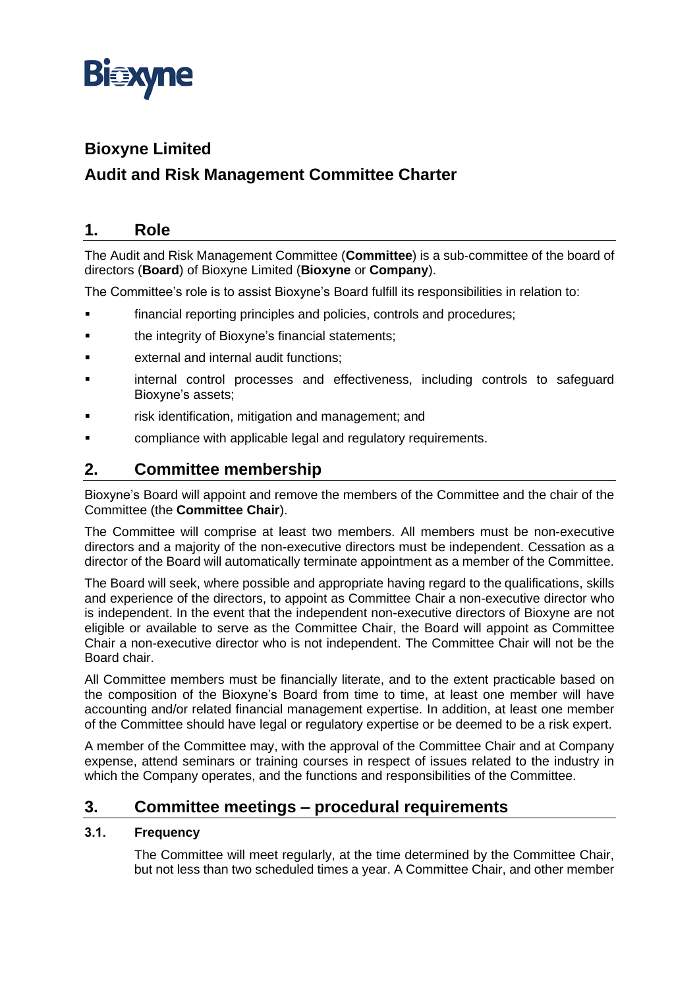

# **Bioxyne Limited**

# **Audit and Risk Management Committee Charter**

## **1. Role**

The Audit and Risk Management Committee (**Committee**) is a sub-committee of the board of directors (**Board**) of Bioxyne Limited (**Bioxyne** or **Company**).

The Committee's role is to assist Bioxyne's Board fulfill its responsibilities in relation to:

- financial reporting principles and policies, controls and procedures;
- the integrity of Bioxyne's financial statements;
- external and internal audit functions:
- internal control processes and effectiveness, including controls to safeguard Bioxyne's assets;
- risk identification, mitigation and management; and
- compliance with applicable legal and regulatory requirements.

## **2. Committee membership**

Bioxyne's Board will appoint and remove the members of the Committee and the chair of the Committee (the **Committee Chair**).

The Committee will comprise at least two members. All members must be non-executive directors and a majority of the non-executive directors must be independent. Cessation as a director of the Board will automatically terminate appointment as a member of the Committee.

The Board will seek, where possible and appropriate having regard to the qualifications, skills and experience of the directors, to appoint as Committee Chair a non-executive director who is independent. In the event that the independent non-executive directors of Bioxyne are not eligible or available to serve as the Committee Chair, the Board will appoint as Committee Chair a non-executive director who is not independent. The Committee Chair will not be the Board chair.

All Committee members must be financially literate, and to the extent practicable based on the composition of the Bioxyne's Board from time to time, at least one member will have accounting and/or related financial management expertise. In addition, at least one member of the Committee should have legal or regulatory expertise or be deemed to be a risk expert.

A member of the Committee may, with the approval of the Committee Chair and at Company expense, attend seminars or training courses in respect of issues related to the industry in which the Company operates, and the functions and responsibilities of the Committee.

## **3. Committee meetings – procedural requirements**

#### **3.1. Frequency**

The Committee will meet regularly, at the time determined by the Committee Chair, but not less than two scheduled times a year. A Committee Chair, and other member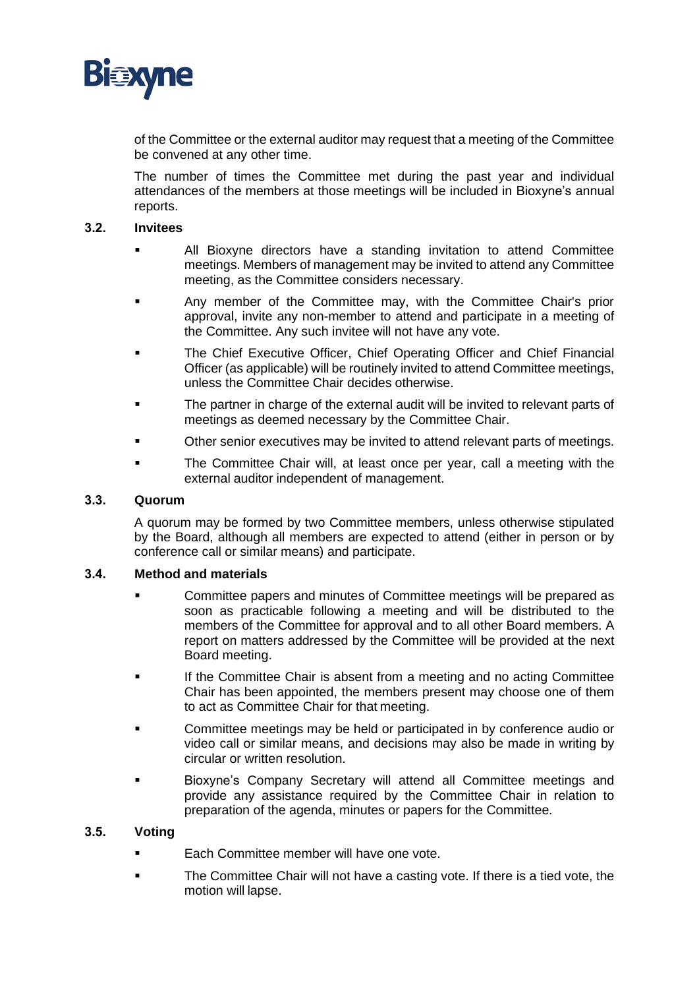

of the Committee or the external auditor may request that a meeting of the Committee be convened at any other time.

The number of times the Committee met during the past year and individual attendances of the members at those meetings will be included in Bioxyne's annual reports.

#### **3.2. Invitees**

- All Bioxyne directors have a standing invitation to attend Committee meetings. Members of management may be invited to attend any Committee meeting, as the Committee considers necessary.
- Any member of the Committee may, with the Committee Chair's prior approval, invite any non-member to attend and participate in a meeting of the Committee. Any such invitee will not have any vote.
- The Chief Executive Officer, Chief Operating Officer and Chief Financial Officer (as applicable) will be routinely invited to attend Committee meetings, unless the Committee Chair decides otherwise.
- The partner in charge of the external audit will be invited to relevant parts of meetings as deemed necessary by the Committee Chair.
- Other senior executives may be invited to attend relevant parts of meetings.
- The Committee Chair will, at least once per year, call a meeting with the external auditor independent of management.

#### **3.3. Quorum**

A quorum may be formed by two Committee members, unless otherwise stipulated by the Board, although all members are expected to attend (either in person or by conference call or similar means) and participate.

#### **3.4. Method and materials**

- Committee papers and minutes of Committee meetings will be prepared as soon as practicable following a meeting and will be distributed to the members of the Committee for approval and to all other Board members. A report on matters addressed by the Committee will be provided at the next Board meeting.
- If the Committee Chair is absent from a meeting and no acting Committee Chair has been appointed, the members present may choose one of them to act as Committee Chair for that meeting.
- **•** Committee meetings may be held or participated in by conference audio or video call or similar means, and decisions may also be made in writing by circular or written resolution.
- Bioxyne's Company Secretary will attend all Committee meetings and provide any assistance required by the Committee Chair in relation to preparation of the agenda, minutes or papers for the Committee.

#### **3.5. Voting**

- Each Committee member will have one vote.
- The Committee Chair will not have a casting vote. If there is a tied vote, the motion will lapse.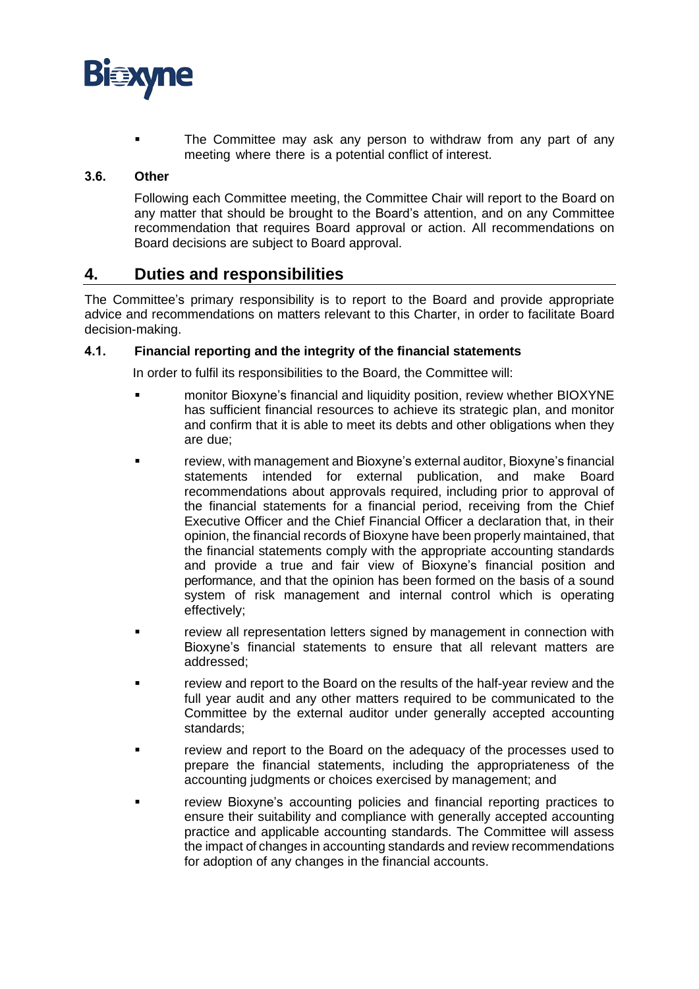

The Committee may ask any person to withdraw from any part of any meeting where there is a potential conflict of interest.

#### **3.6. Other**

Following each Committee meeting, the Committee Chair will report to the Board on any matter that should be brought to the Board's attention, and on any Committee recommendation that requires Board approval or action. All recommendations on Board decisions are subject to Board approval.

### **4. Duties and responsibilities**

The Committee's primary responsibility is to report to the Board and provide appropriate advice and recommendations on matters relevant to this Charter, in order to facilitate Board decision-making.

#### **4.1. Financial reporting and the integrity of the financial statements**

In order to fulfil its responsibilities to the Board, the Committee will:

- **•** monitor Bioxyne's financial and liquidity position, review whether BIOXYNE has sufficient financial resources to achieve its strategic plan, and monitor and confirm that it is able to meet its debts and other obligations when they are due;
- review, with management and Bioxyne's external auditor, Bioxyne's financial statements intended for external publication, and make Board recommendations about approvals required, including prior to approval of the financial statements for a financial period, receiving from the Chief Executive Officer and the Chief Financial Officer a declaration that, in their opinion, the financial records of Bioxyne have been properly maintained, that the financial statements comply with the appropriate accounting standards and provide a true and fair view of Bioxyne's financial position and performance, and that the opinion has been formed on the basis of a sound system of risk management and internal control which is operating effectively;
- review all representation letters signed by management in connection with Bioxyne's financial statements to ensure that all relevant matters are addressed;
- review and report to the Board on the results of the half-year review and the full year audit and any other matters required to be communicated to the Committee by the external auditor under generally accepted accounting standards;
- review and report to the Board on the adequacy of the processes used to prepare the financial statements, including the appropriateness of the accounting judgments or choices exercised by management; and
- review Bioxyne's accounting policies and financial reporting practices to ensure their suitability and compliance with generally accepted accounting practice and applicable accounting standards. The Committee will assess the impact of changes in accounting standards and review recommendations for adoption of any changes in the financial accounts.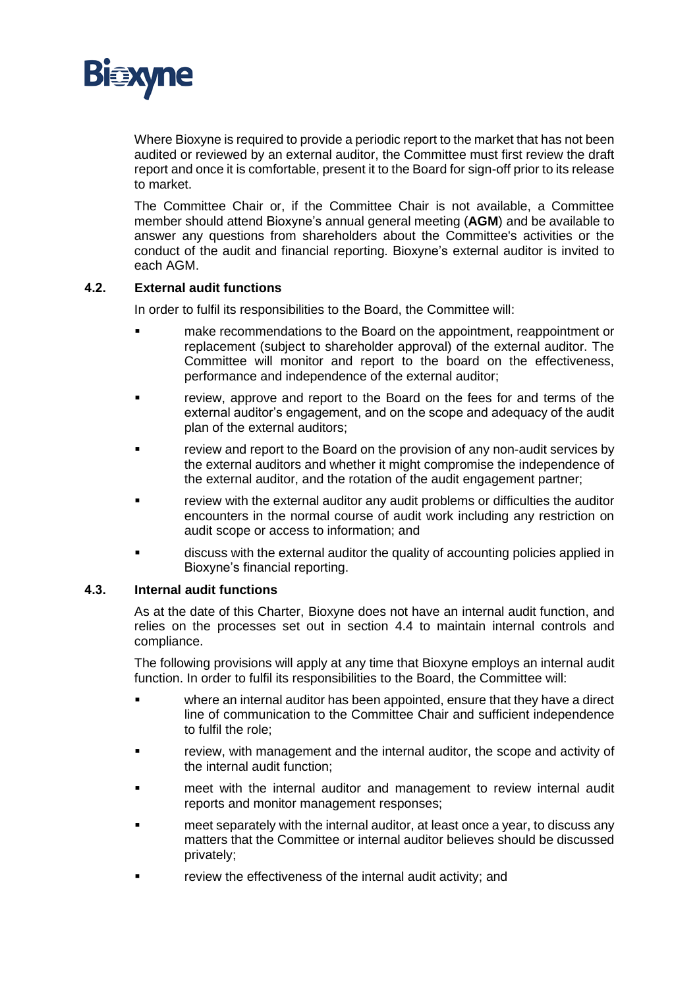

Where Bioxyne is required to provide a periodic report to the market that has not been audited or reviewed by an external auditor, the Committee must first review the draft report and once it is comfortable, present it to the Board for sign-off prior to its release to market.

The Committee Chair or, if the Committee Chair is not available, a Committee member should attend Bioxyne's annual general meeting (**AGM**) and be available to answer any questions from shareholders about the Committee's activities or the conduct of the audit and financial reporting. Bioxyne's external auditor is invited to each AGM.

#### **4.2. External audit functions**

In order to fulfil its responsibilities to the Board, the Committee will:

- make recommendations to the Board on the appointment, reappointment or replacement (subject to shareholder approval) of the external auditor. The Committee will monitor and report to the board on the effectiveness, performance and independence of the external auditor;
- review, approve and report to the Board on the fees for and terms of the external auditor's engagement, and on the scope and adequacy of the audit plan of the external auditors;
- **•** review and report to the Board on the provision of any non-audit services by the external auditors and whether it might compromise the independence of the external auditor, and the rotation of the audit engagement partner;
- review with the external auditor any audit problems or difficulties the auditor encounters in the normal course of audit work including any restriction on audit scope or access to information; and
- discuss with the external auditor the quality of accounting policies applied in Bioxyne's financial reporting.

#### **4.3. Internal audit functions**

As at the date of this Charter, Bioxyne does not have an internal audit function, and relies on the processes set out in section [4.4](#page-4-0) to maintain internal controls and compliance.

The following provisions will apply at any time that Bioxyne employs an internal audit function. In order to fulfil its responsibilities to the Board, the Committee will:

- where an internal auditor has been appointed, ensure that they have a direct line of communication to the Committee Chair and sufficient independence to fulfil the role;
- **•** review, with management and the internal auditor, the scope and activity of the internal audit function;
- meet with the internal auditor and management to review internal audit reports and monitor management responses;
- meet separately with the internal auditor, at least once a year, to discuss any matters that the Committee or internal auditor believes should be discussed privately;
- review the effectiveness of the internal audit activity; and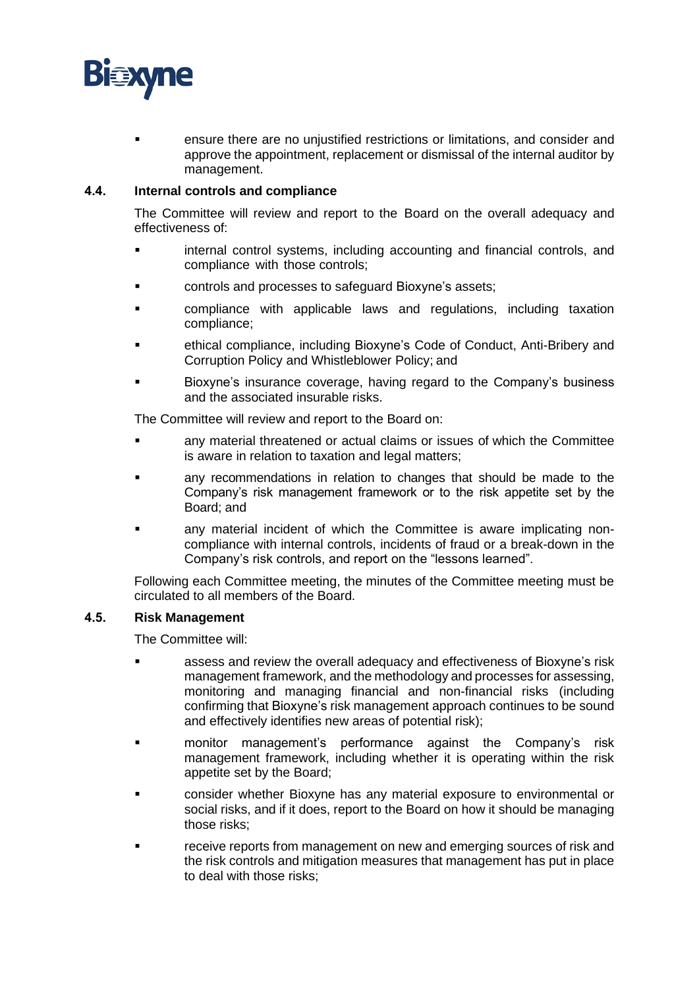

ensure there are no unjustified restrictions or limitations, and consider and approve the appointment, replacement or dismissal of the internal auditor by management.

#### <span id="page-4-0"></span>**4.4. Internal controls and compliance**

The Committee will review and report to the Board on the overall adequacy and effectiveness of:

- internal control systems, including accounting and financial controls, and compliance with those controls;
- controls and processes to safeguard Bioxyne's assets;
- compliance with applicable laws and regulations, including taxation compliance;
- ethical compliance, including Bioxyne's Code of Conduct, Anti-Bribery and Corruption Policy and Whistleblower Policy; and
- Bioxyne's insurance coverage, having regard to the Company's business and the associated insurable risks.

The Committee will review and report to the Board on:

- any material threatened or actual claims or issues of which the Committee is aware in relation to taxation and legal matters;
- any recommendations in relation to changes that should be made to the Company's risk management framework or to the risk appetite set by the Board; and
- any material incident of which the Committee is aware implicating noncompliance with internal controls, incidents of fraud or a break-down in the Company's risk controls, and report on the "lessons learned".

Following each Committee meeting, the minutes of the Committee meeting must be circulated to all members of the Board.

#### **4.5. Risk Management**

The Committee will:

- assess and review the overall adequacy and effectiveness of Bioxyne's risk management framework, and the methodology and processes for assessing, monitoring and managing financial and non-financial risks (including confirming that Bioxyne's risk management approach continues to be sound and effectively identifies new areas of potential risk);
- monitor management's performance against the Company's risk management framework, including whether it is operating within the risk appetite set by the Board;
- consider whether Bioxyne has any material exposure to environmental or social risks, and if it does, report to the Board on how it should be managing those risks;
- receive reports from management on new and emerging sources of risk and the risk controls and mitigation measures that management has put in place to deal with those risks;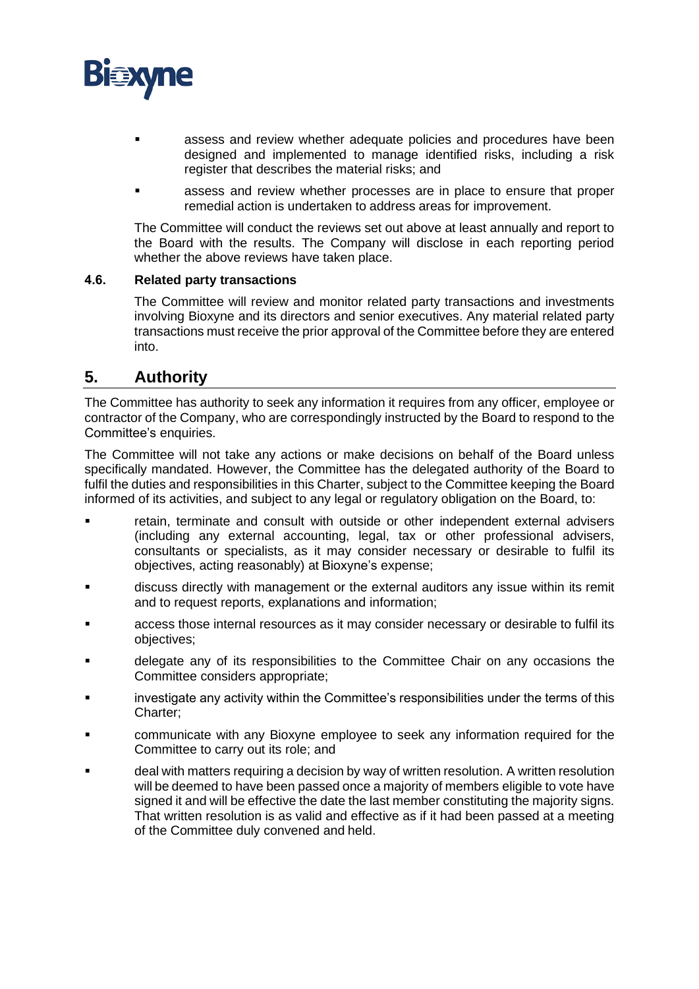

- assess and review whether adequate policies and procedures have been designed and implemented to manage identified risks, including a risk register that describes the material risks; and
- assess and review whether processes are in place to ensure that proper remedial action is undertaken to address areas for improvement.

The Committee will conduct the reviews set out above at least annually and report to the Board with the results. The Company will disclose in each reporting period whether the above reviews have taken place.

#### **4.6. Related party transactions**

The Committee will review and monitor related party transactions and investments involving Bioxyne and its directors and senior executives. Any material related party transactions must receive the prior approval of the Committee before they are entered into.

## **5. Authority**

The Committee has authority to seek any information it requires from any officer, employee or contractor of the Company, who are correspondingly instructed by the Board to respond to the Committee's enquiries.

The Committee will not take any actions or make decisions on behalf of the Board unless specifically mandated. However, the Committee has the delegated authority of the Board to fulfil the duties and responsibilities in this Charter, subject to the Committee keeping the Board informed of its activities, and subject to any legal or regulatory obligation on the Board, to:

- retain, terminate and consult with outside or other independent external advisers (including any external accounting, legal, tax or other professional advisers, consultants or specialists, as it may consider necessary or desirable to fulfil its objectives, acting reasonably) at Bioxyne's expense;
- discuss directly with management or the external auditors any issue within its remit and to request reports, explanations and information;
- access those internal resources as it may consider necessary or desirable to fulfil its objectives;
- delegate any of its responsibilities to the Committee Chair on any occasions the Committee considers appropriate;
- investigate any activity within the Committee's responsibilities under the terms of this Charter;
- communicate with any Bioxyne employee to seek any information required for the Committee to carry out its role; and
- deal with matters requiring a decision by way of written resolution. A written resolution will be deemed to have been passed once a majority of members eligible to vote have signed it and will be effective the date the last member constituting the majority signs. That written resolution is as valid and effective as if it had been passed at a meeting of the Committee duly convened and held.